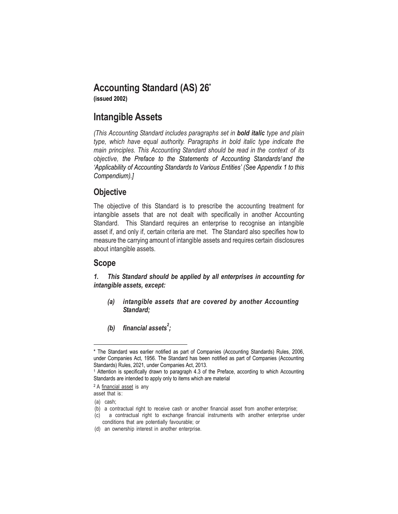# **Accounting Standard (AS) 26\***

**(issued 2002)**

# **Intangible Assets**

*(This Accounting Standard includes paragraphs set in bold italic type and plain type, which have equal authority. Paragraphs in bold italic type indicate the main principles. This Accounting Standard should be read in the context of its objective, the Preface to the Statements of Accounting Standards1and the 'Applicability of Accounting Standards to Various Entities' (See Appendix 1 to this Compendium).]* 

# **Objective**

The objective of this Standard is to prescribe the accounting treatment for intangible assets that are not dealt with specifically in another Accounting Standard. This Standard requires an enterprise to recognise an intangible asset if, and only if, certain criteria are met. The Standard also specifies how to measure the carrying amount of intangible assets and requires certain disclosures about intangible assets.

## **Scope**

*1. This Standard should be applied by all enterprises in accounting for intangible assets, except:*

- *(a) intangible assets that are covered by another Accounting Standard;*
- *(b) financial assets 2 ;*

 $\overline{\phantom{a}}$ 

<sup>\*</sup> The Standard was earlier notified as part of Companies (Accounting Standards) Rules, 2006, under Companies Act, 1956. The Standard has been notified as part of Companies (Accounting Standards) Rules, 2021, under Companies Act, 2013.

<sup>&</sup>lt;sup>1</sup> Attention is specifically drawn to paragraph 4.3 of the Preface, according to which Accounting Standards are intended to apply only to items which are material

<sup>&</sup>lt;sup>2</sup> A financial asset is any

asset that is:

<sup>(</sup>a) cash;

<sup>(</sup>b) a contractual right to receive cash or another financial asset from another enterprise;

<sup>(</sup>c) a contractual right to exchange financial instruments with another enterprise under conditions that are potentially favourable; or

<sup>(</sup>d) an ownership interest in another enterprise.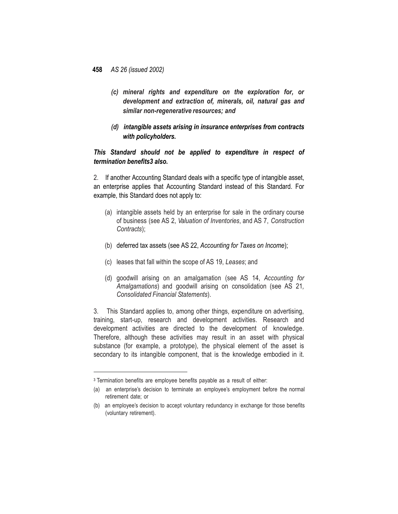- *(c) mineral rights and expenditure on the exploration for, or development and extraction of, minerals, oil, natural gas and similar non-regenerative resources; and*
- *(d) intangible assets arising in insurance enterprises from contracts with policyholders.*

#### *This Standard should not be applied to expenditure in respect of termination benefits3 also.*

2. If another Accounting Standard deals with a specific type of intangible asset, an enterprise applies that Accounting Standard instead of this Standard. For example, this Standard does not apply to:

- (a) intangible assets held by an enterprise for sale in the ordinary course of business (see AS 2, *Valuation of Inventories*, and AS 7, *Construction Contracts*);
- (b) deferred tax assets (see AS 22, *Accounting for Taxes on Income*);
- (c) leases that fall within the scope of AS 19, *Leases*; and
- (d) goodwill arising on an amalgamation (see AS 14, *Accounting for Amalgamations*) and goodwill arising on consolidation (see AS 21*, Consolidated Financial Statements*).

3. This Standard applies to, among other things, expenditure on advertising, training, start-up, research and development activities. Research and development activities are directed to the development of knowledge. Therefore, although these activities may result in an asset with physical substance (for example, a prototype), the physical element of the asset is secondary to its intangible component, that is the knowledge embodied in it.

 $\overline{\phantom{a}}$ 

<sup>3</sup> Termination benefits are employee benefits payable as a result of either:

<sup>(</sup>a) an enterprise's decision to terminate an employee's employment before the normal retirement date; or

<sup>(</sup>b) an employee's decision to accept voluntary redundancy in exchange for those benefits (voluntary retirement).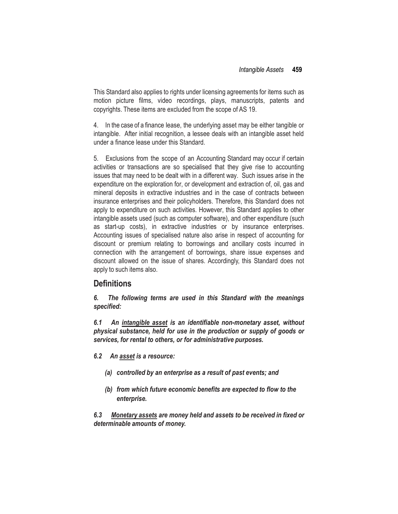This Standard also applies to rights under licensing agreements for items such as motion picture films, video recordings, plays, manuscripts, patents and copyrights. These items are excluded from the scope of AS 19.

4. In the case of a finance lease, the underlying asset may be either tangible or intangible. After initial recognition, a lessee deals with an intangible asset held under a finance lease under this Standard.

5. Exclusions from the scope of an Accounting Standard may occur if certain activities or transactions are so specialised that they give rise to accounting issues that may need to be dealt with in a different way. Such issues arise in the expenditure on the exploration for, or development and extraction of, oil, gas and mineral deposits in extractive industries and in the case of contracts between insurance enterprises and their policyholders. Therefore, this Standard does not apply to expenditure on such activities. However, this Standard applies to other intangible assets used (such as computer software), and other expenditure (such as start-up costs), in extractive industries or by insurance enterprises. Accounting issues of specialised nature also arise in respect of accounting for discount or premium relating to borrowings and ancillary costs incurred in connection with the arrangement of borrowings, share issue expenses and discount allowed on the issue of shares. Accordingly, this Standard does not apply to such items also.

## **Definitions**

*6. The following terms are used in this Standard with the meanings specified:*

*6.1 An intangible asset is an identifiable non-monetary asset, without physical substance, held for use in the production or supply of goods or services, for rental to others, or for administrative purposes.*

*6.2 An asset is a resource:*

- *(a) controlled by an enterprise as a result of past events; and*
- *(b) from which future economic benefits are expected to flow to the enterprise.*

*6.3 Monetary assets are money held and assets to be received in fixed or determinable amounts of money.*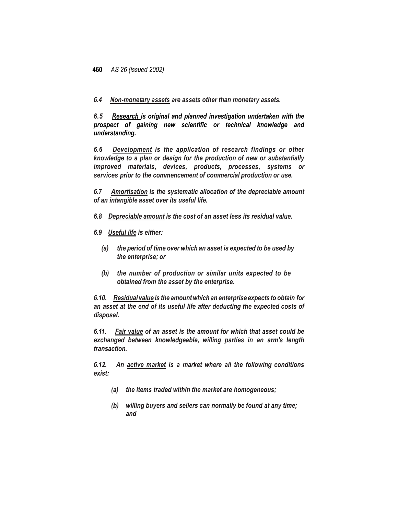*6.4 Non-monetary assets are assets other than monetary assets.*

*6.5 Research is original and planned investigation undertaken with the prospect of gaining new scientific or technical knowledge and understanding.*

*6.6 Development is the application of research findings or other knowledge to a plan or design for the production of new or substantially improved materials, devices, products, processes, systems or services prior to the commencement of commercial production or use.*

*6.7 Amortisation is the systematic allocation of the depreciable amount of an intangible asset over its useful life.*

- *6.8 Depreciable amount is the cost of an asset less its residual value.*
- *6.9 Useful life is either:*
	- *(a) the period of time over which an asset is expected to be used by the enterprise; or*
	- *(b) the number of production or similar units expected to be obtained from the asset by the enterprise.*

*6.10. Residual value is the amountwhich an enterprise expects to obtain for an asset at the end of its useful life after deducting the expected costs of disposal.*

*6.11. Fair value of an asset is the amount for which that asset could be exchanged between knowledgeable, willing parties in an arm's length transaction.*

*6.12. An active market is a market where all the following conditions exist:*

- *(a) the items traded within the market are homogeneous;*
- *(b) willing buyers and sellers can normally be found at any time; and*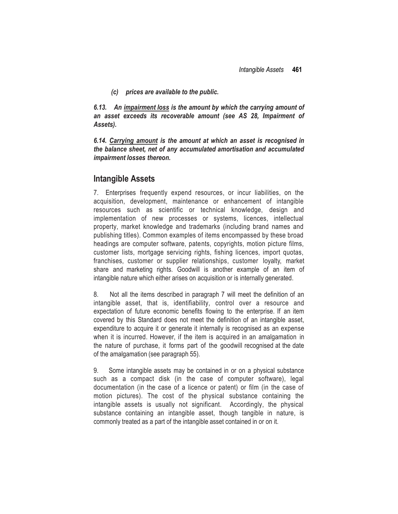*(c) prices are available to the public.*

*6.13. An impairment loss is the amount by which the carrying amount of an asset exceeds its recoverable amount (see AS 28, Impairment of Assets).*

*6.14. Carrying amount is the amount at which an asset is recognised in the balance sheet, net of any accumulated amortisation and accumulated impairment losses thereon.*

### **Intangible Assets**

7. Enterprises frequently expend resources, or incur liabilities, on the acquisition, development, maintenance or enhancement of intangible resources such as scientific or technical knowledge, design and implementation of new processes or systems, licences, intellectual property, market knowledge and trademarks (including brand names and publishing titles). Common examples of items encompassed by these broad headings are computer software, patents, copyrights, motion picture films, customer lists, mortgage servicing rights, fishing licences, import quotas, franchises, customer or supplier relationships, customer loyalty, market share and marketing rights. Goodwill is another example of an item of intangible nature which either arises on acquisition or is internally generated.

8. Not all the items described in paragraph 7 will meet the definition of an intangible asset, that is, identifiability, control over a resource and expectation of future economic benefits flowing to the enterprise. If an item covered by this Standard does not meet the definition of an intangible asset, expenditure to acquire it or generate it internally is recognised as an expense when it is incurred. However, if the item is acquired in an amalgamation in the nature of purchase, it forms part of the goodwill recognised at the date of the amalgamation (see paragraph 55).

9. Some intangible assets may be contained in or on a physical substance such as a compact disk (in the case of computer software), legal documentation (in the case of a licence or patent) or film (in the case of motion pictures). The cost of the physical substance containing the intangible assets is usually not significant. Accordingly, the physical substance containing an intangible asset, though tangible in nature, is commonly treated as a part of the intangible asset contained in or on it.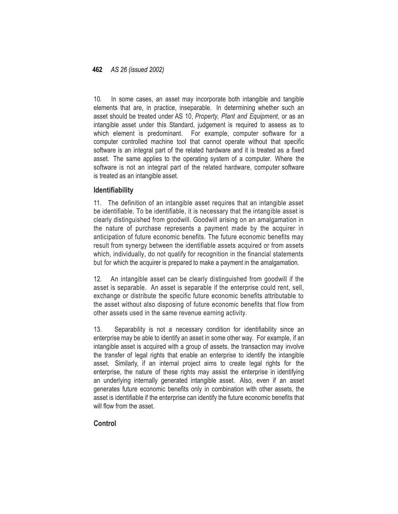10. In some cases, an asset may incorporate both intangible and tangible elements that are, in practice, inseparable. In determining whether such an asset should be treated under AS 10, *Property, Plant and Equipment*, or as an intangible asset under this Standard, judgement is required to assess as to which element is predominant. For example, computer software for a computer controlled machine tool that cannot operate without that specific software is an integral part of the related hardware and it is treated as a fixed asset. The same applies to the operating system of a computer. Where the software is not an integral part of the related hardware, computer software is treated as an intangible asset.

### **Identifiability**

11. The definition of an intangible asset requires that an intangible asset be identifiable. To be identifiable, it is necessary that the intangible asset is clearly distinguished from goodwill. Goodwill arising on an amalgamation in the nature of purchase represents a payment made by the acquirer in anticipation of future economic benefits. The future economic benefits may result from synergy between the identifiable assets acquired or from assets which, individually, do not qualify for recognition in the financial statements but for which the acquirer is prepared to make a payment in the amalgamation.

12. An intangible asset can be clearly distinguished from goodwill if the asset is separable. An asset is separable if the enterprise could rent, sell, exchange or distribute the specific future economic benefits attributable to the asset without also disposing of future economic benefits that flow from other assets used in the same revenue earning activity.

13. Separability is not a necessary condition for identifiability since an enterprise may be able to identify an asset in some other way. For example, if an intangible asset is acquired with a group of assets, the transaction may involve the transfer of legal rights that enable an enterprise to identify the intangible asset. Similarly, if an internal project aims to create legal rights for the enterprise, the nature of these rights may assist the enterprise in identifying an underlying internally generated intangible asset. Also, even if an asset generates future economic benefits only in combination with other assets, the asset is identifiable if the enterprise can identify the future economic benefits that will flow from the asset.

### **Control**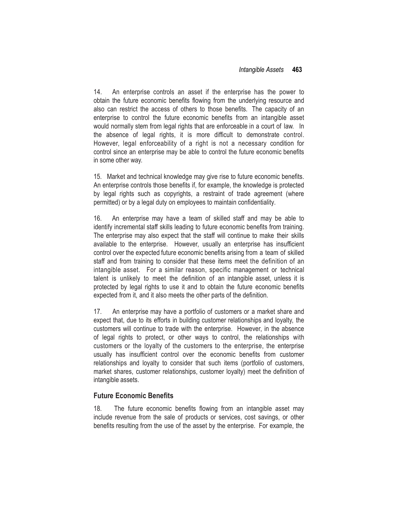14. An enterprise controls an asset if the enterprise has the power to obtain the future economic benefits flowing from the underlying resource and also can restrict the access of others to those benefits. The capacity of an enterprise to control the future economic benefits from an intangible asset would normally stem from legal rights that are enforceable in a court of law. In the absence of legal rights, it is more difficult to demonstrate control. However, legal enforceability of a right is not a necessary condition for control since an enterprise may be able to control the future economic benefits in some other way.

15. Market and technical knowledge may give rise to future economic benefits. An enterprise controls those benefits if, for example, the knowledge is protected by legal rights such as copyrights, a restraint of trade agreement (where permitted) or by a legal duty on employees to maintain confidentiality.

16. An enterprise may have a team of skilled staff and may be able to identify incremental staff skills leading to future economic benefits from training. The enterprise may also expect that the staff will continue to make their skills available to the enterprise. However, usually an enterprise has insufficient control over the expected future economic benefits arising from a team of skilled staff and from training to consider that these items meet the definition of an intangible asset. For a similar reason, specific management or technical talent is unlikely to meet the definition of an intangible asset, unless it is protected by legal rights to use it and to obtain the future economic benefits expected from it, and it also meets the other parts of the definition.

17. An enterprise may have a portfolio of customers or a market share and expect that, due to its efforts in building customer relationships and loyalty, the customers will continue to trade with the enterprise. However, in the absence of legal rights to protect, or other ways to control, the relationships with customers or the loyalty of the customers to the enterprise, the enterprise usually has insufficient control over the economic benefits from customer relationships and loyalty to consider that such items (portfolio of customers, market shares, customer relationships, customer loyalty) meet the definition of intangible assets.

### **Future Economic Benefits**

18. The future economic benefits flowing from an intangible asset may include revenue from the sale of products or services, cost savings, or other benefits resulting from the use of the asset by the enterprise. For example, the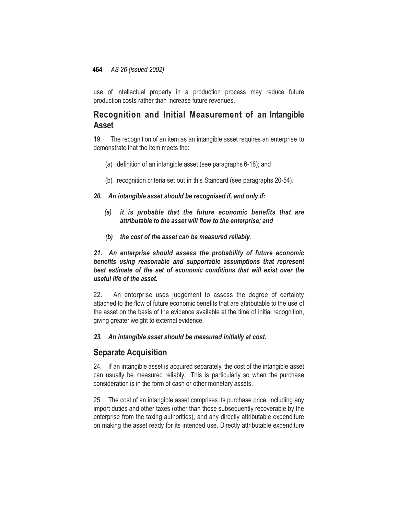use of intellectual property in a production process may reduce future production costs rather than increase future revenues.

## **Recognition and Initial Measurement of an Intangible Asset**

19. The recognition of an item as an intangible asset requires an enterprise to demonstrate that the item meets the:

- (a) definition of an intangible asset (see paragraphs 6-18); and
- (b) recognition criteria set out in this Standard (see paragraphs 20-54).

### *20. An intangible asset should be recognised if, and only if:*

- *(a) it is probable that the future economic benefits that are attributable to the asset will flow to the enterprise; and*
- *(b) the cost of the asset can be measured reliably.*

### *21. An enterprise should assess the probability of future economic benefits using reasonable and supportable assumptions that represent best estimate of the set of economic conditions that will exist over the useful life of the asset.*

22. An enterprise uses judgement to assess the degree of certainty attached to the flow of future economic benefits that are attributable to the use of the asset on the basis of the evidence available at the time of initial recognition, giving greater weight to external evidence.

### *23. An intangible asset should be measured initially at cost.*

## **Separate Acquisition**

24. If an intangible asset is acquired separately, the cost of the intangible asset can usually be measured reliably. This is particularly so when the purchase consideration is in the form of cash or other monetary assets.

25. The cost of an intangible asset comprises its purchase price, including any import duties and other taxes (other than those subsequently recoverable by the enterprise from the taxing authorities), and any directly attributable expenditure on making the asset ready for its intended use. Directly attributable expenditure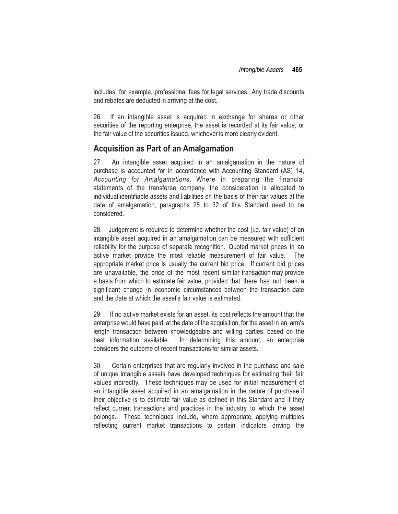includes, for example, professional fees for legal services. Any trade discounts and rebates are deducted in arriving at the cost.

26. If an intangible asset is acquired in exchange for shares or other securities of the reporting enterprise, the asset is recorded at its fair value, or the fair value of the securities issued, whichever is more clearly evident.

### **Acquisition as Part of an Amalgamation**

27. An intangible asset acquired in an amalgamation in the nature of purchase is accounted for in accordance with Accounting Standard (AS) 14, *Accounting for Amalgamations*. Where in preparing the financial statements of the transferee company, the consideration is allocated to individual identifiable assets and liabilities on the basis of their fair values at the date of amalgamation, paragraphs 28 to 32 of this Standard need to be considered.

28. Judgement is required to determine whether the cost (i.e. fair value) of an intangible asset acquired in an amalgamation can be measured with sufficient reliability for the purpose of separate recognition. Quoted market prices in an active market provide the most reliable measurement of fair value. The appropriate market price is usually the current bid price. If current bid prices are unavailable, the price of the most recent similar transaction may provide a basis from which to estimate fair value, provided that there has not been a significant change in economic circumstances between the transaction date and the date at which the asset's fair value is estimated.

29. If no active market exists for an asset, its cost reflects the amount that the enterprise would have paid, at the date of the acquisition, for the asset in an arm's length transaction between knowledgeable and willing parties, based on the best information available. In determining this amount, an enterprise considers the outcome of recent transactions for similar assets.

30. Certain enterprises that are regularly involved in the purchase and sale of unique intangible assets have developed techniques for estimating their fair values indirectly. These techniques may be used for initial measurement of an intangible asset acquired in an amalgamation in the nature of purchase if their objective is to estimate fair value as defined in this Standard and if they reflect current transactions and practices in the industry to which the asset belongs. These techniques include, where appropriate, applying multiples reflecting current market transactions to certain indicators driving the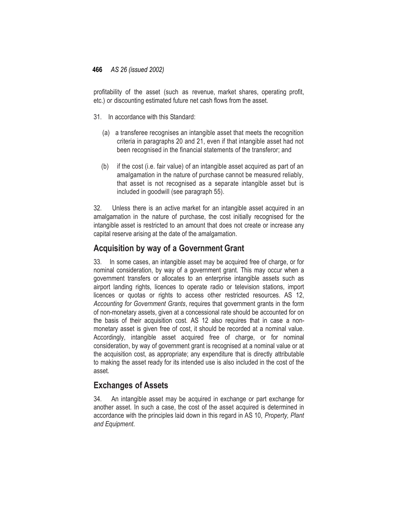profitability of the asset (such as revenue, market shares, operating profit, etc.) or discounting estimated future net cash flows from the asset.

31. In accordance with this Standard:

- (a) a transferee recognises an intangible asset that meets the recognition criteria in paragraphs 20 and 21, even if that intangible asset had not been recognised in the financial statements of the transferor; and
- (b) if the cost (i.e. fair value) of an intangible asset acquired as part of an amalgamation in the nature of purchase cannot be measured reliably, that asset is not recognised as a separate intangible asset but is included in goodwill (see paragraph 55).

32. Unless there is an active market for an intangible asset acquired in an amalgamation in the nature of purchase, the cost initially recognised for the intangible asset is restricted to an amount that does not create or increase any capital reserve arising at the date of the amalgamation.

# **Acquisition by way of a Government Grant**

33. In some cases, an intangible asset may be acquired free of charge, or for nominal consideration, by way of a government grant. This may occur when a government transfers or allocates to an enterprise intangible assets such as airport landing rights, licences to operate radio or television stations, import licences or quotas or rights to access other restricted resources. AS 12, *Accounting for Government Grants*, requires that government grants in the form of non-monetary assets, given at a concessional rate should be accounted for on the basis of their acquisition cost. AS 12 also requires that in case a nonmonetary asset is given free of cost, it should be recorded at a nominal value. Accordingly, intangible asset acquired free of charge, or for nominal consideration, by way of government grant is recognised at a nominal value or at the acquisition cost, as appropriate; any expenditure that is directly attributable to making the asset ready for its intended use is also included in the cost of the asset.

# **Exchanges of Assets**

34. An intangible asset may be acquired in exchange or part exchange for another asset. In such a case, the cost of the asset acquired is determined in accordance with the principles laid down in this regard in AS 10, *Property, Plant and Equipment*.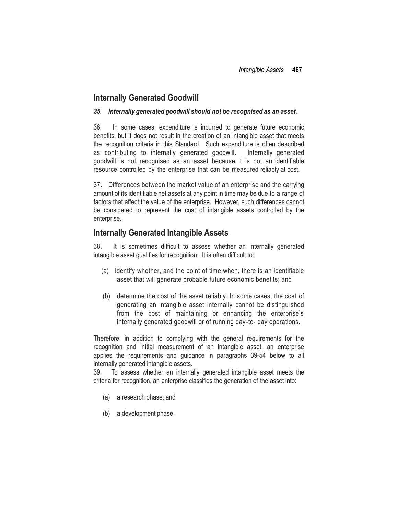## **Internally Generated Goodwill**

#### *35. Internally generated goodwill should not be recognised as an asset.*

36. In some cases, expenditure is incurred to generate future economic benefits, but it does not result in the creation of an intangible asset that meets the recognition criteria in this Standard. Such expenditure is often described as contributing to internally generated goodwill. Internally generated goodwill is not recognised as an asset because it is not an identifiable resource controlled by the enterprise that can be measured reliably at cost.

37. Differences between the market value of an enterprise and the carrying amount of its identifiable net assets at any point in time may be due to a range of factors that affect the value of the enterprise. However, such differences cannot be considered to represent the cost of intangible assets controlled by the enterprise.

## **Internally Generated Intangible Assets**

38. It is sometimes difficult to assess whether an internally generated intangible asset qualifies for recognition. It is often difficult to:

- (a) identify whether, and the point of time when, there is an identifiable asset that will generate probable future economic benefits; and
- (b) determine the cost of the asset reliably. In some cases, the cost of generating an intangible asset internally cannot be distinguished from the cost of maintaining or enhancing the enterprise's internally generated goodwill or of running day-to- day operations.

Therefore, in addition to complying with the general requirements for the recognition and initial measurement of an intangible asset, an enterprise applies the requirements and guidance in paragraphs 39-54 below to all internally generated intangible assets.

39. To assess whether an internally generated intangible asset meets the criteria for recognition, an enterprise classifies the generation of the asset into:

- (a) a research phase; and
- (b) a development phase.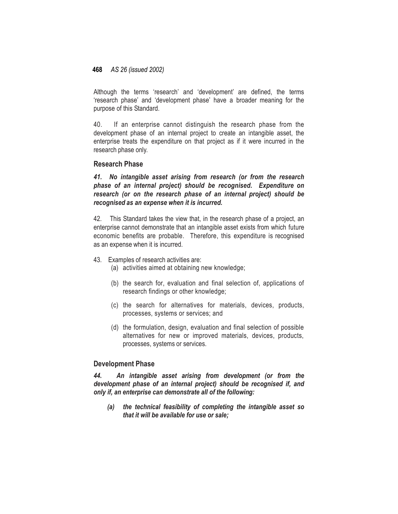Although the terms 'research' and 'development' are defined, the terms 'research phase' and 'development phase' have a broader meaning for the purpose of this Standard.

40. If an enterprise cannot distinguish the research phase from the development phase of an internal project to create an intangible asset, the enterprise treats the expenditure on that project as if it were incurred in the research phase only.

### **Research Phase**

*41. No intangible asset arising from research (or from the research phase of an internal project) should be recognised. Expenditure on research (or on the research phase of an internal project) should be recognised as an expense when it is incurred.*

42. This Standard takes the view that, in the research phase of a project, an enterprise cannot demonstrate that an intangible asset exists from which future economic benefits are probable. Therefore, this expenditure is recognised as an expense when it is incurred.

43. Examples of research activities are:

- (a) activities aimed at obtaining new knowledge;
- (b) the search for, evaluation and final selection of, applications of research findings or other knowledge;
- (c) the search for alternatives for materials, devices, products, processes, systems or services; and
- (d) the formulation, design, evaluation and final selection of possible alternatives for new or improved materials, devices, products, processes, systems or services.

### **Development Phase**

*44. An intangible asset arising from development (or from the development phase of an internal project) should be recognised if, and only if, an enterprise can demonstrate all of the following:*

*(a) the technical feasibility of completing the intangible asset so that it will be available for use or sale;*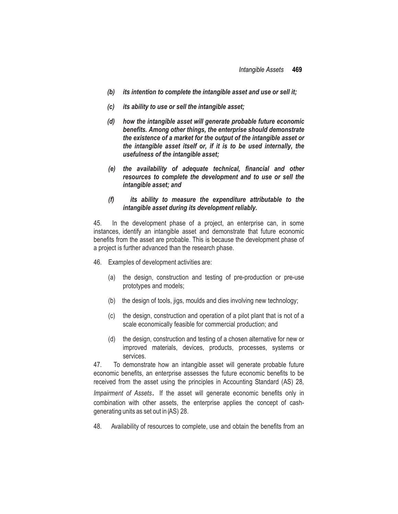- *(b) its intention to complete the intangible asset and use or sell it;*
- *(c) its ability to use or sell the intangible asset;*
- *(d) how the intangible asset will generate probable future economic benefits. Among other things, the enterprise should demonstrate the existence of a market for the output of the intangible asset or the intangible asset itself or, if it is to be used internally, the usefulness of the intangible asset;*
- *(e) the availability of adequate technical, financial and other resources to complete the development and to use or sell the intangible asset; and*
- *(f) its ability to measure the expenditure attributable to the intangible asset during its development reliably.*

45. In the development phase of a project, an enterprise can, in some instances, identify an intangible asset and demonstrate that future economic benefits from the asset are probable. This is because the development phase of a project is further advanced than the research phase.

- 46. Examples of development activities are:
	- (a) the design, construction and testing of pre-production or pre-use prototypes and models;
	- (b) the design of tools, jigs, moulds and dies involving new technology;
	- (c) the design, construction and operation of a pilot plant that is not of a scale economically feasible for commercial production; and
	- (d) the design, construction and testing of a chosen alternative for new or improved materials, devices, products, processes, systems or services.

47. To demonstrate how an intangible asset will generate probable future economic benefits, an enterprise assesses the future economic benefits to be received from the asset using the principles in Accounting Standard (AS) 28*, Impairment of Assets*. If the asset will generate economic benefits only in combination with other assets, the enterprise applies the concept of cashgenerating units as set out in (AS) 28.

48. Availability of resources to complete, use and obtain the benefits from an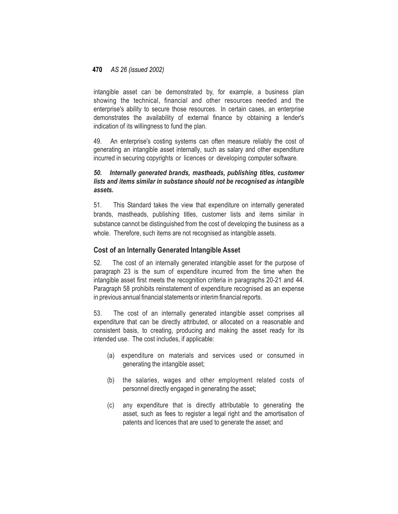intangible asset can be demonstrated by, for example, a business plan showing the technical, financial and other resources needed and the enterprise's ability to secure those resources. In certain cases, an enterprise demonstrates the availability of external finance by obtaining a lender's indication of its willingness to fund the plan.

49. An enterprise's costing systems can often measure reliably the cost of generating an intangible asset internally, such as salary and other expenditure incurred in securing copyrights or licences or developing computer software.

### *50. Internally generated brands, mastheads, publishing titles, customer lists and items similar in substance should not be recognised as intangible assets.*

51. This Standard takes the view that expenditure on internally generated brands, mastheads, publishing titles, customer lists and items similar in substance cannot be distinguished from the cost of developing the business as a whole. Therefore, such items are not recognised as intangible assets.

### **Cost of an Internally Generated Intangible Asset**

52. The cost of an internally generated intangible asset for the purpose of paragraph 23 is the sum of expenditure incurred from the time when the intangible asset first meets the recognition criteria in paragraphs 20-21 and 44. Paragraph 58 prohibits reinstatement of expenditure recognised as an expense in previous annual financial statements or interim financial reports.

53. The cost of an internally generated intangible asset comprises all expenditure that can be directly attributed, or allocated on a reasonable and consistent basis, to creating, producing and making the asset ready for its intended use. The cost includes, if applicable:

- (a) expenditure on materials and services used or consumed in generating the intangible asset;
- (b) the salaries, wages and other employment related costs of personnel directly engaged in generating the asset;
- (c) any expenditure that is directly attributable to generating the asset, such as fees to register a legal right and the amortisation of patents and licences that are used to generate the asset; and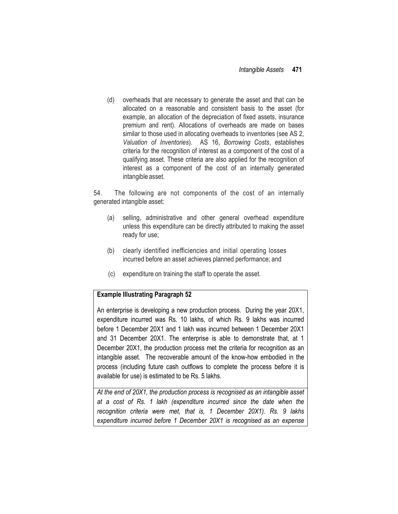(d) overheads that are necessary to generate the asset and that can be allocated on a reasonable and consistent basis to the asset (for example, an allocation of the depreciation of fixed assets, insurance premium and rent). Allocations of overheads are made on bases similar to those used in allocating overheads to inventories (see AS 2, *Valuation of Inventories*). AS 16, *Borrowing Costs*, establishes criteria for the recognition of interest as a component of the cost of a qualifying asset. These criteria are also applied for the recognition of interest as a component of the cost of an internally generated intangible asset.

54. The following are not components of the cost of an internally generated intangible asset:

- (a) selling, administrative and other general overhead expenditure unless this expenditure can be directly attributed to making the asset ready for use;
- (b) clearly identified inefficiencies and initial operating losses incurred before an asset achieves planned performance; and
- (c) expenditure on training the staff to operate the asset.

#### **Example Illustrating Paragraph 52**

An enterprise is developing a new production process. During the year 20X1, expenditure incurred was Rs. 10 lakhs, of which Rs. 9 lakhs was incurred before 1 December 20X1 and 1 lakh was incurred between 1 December 20X1 and 31 December 20X1. The enterprise is able to demonstrate that, at 1 December 20X1, the production process met the criteria for recognition as an intangible asset. The recoverable amount of the know-how embodied in the process (including future cash outflows to complete the process before it is available for use) is estimated to be Rs. 5 lakhs.

*At the end of 20X1, the production process is recognised as an intangible asset at a cost of Rs. 1 lakh (expenditure incurred since the date when the recognition criteria were met, that is, 1 December 20X1). Rs. 9 lakhs expenditure incurred before 1 December 20X1 is recognised as an expense*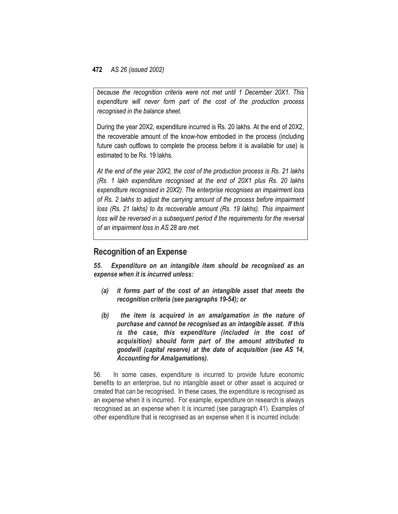*because the recognition criteria were not met until 1 December 20X1. This expenditure will never form part of the cost of the production process recognised in the balance sheet.*

During the year 20X2, expenditure incurred is Rs. 20 lakhs. At the end of 20X2, the recoverable amount of the know-how embodied in the process (including future cash outflows to complete the process before it is available for use) is estimated to be Rs. 19 lakhs.

*At the end of the year 20X2, the cost of the production process is Rs. 21 lakhs (Rs. 1 lakh expenditure recognised at the end of 20X1 plus Rs. 20 lakhs expenditure recognised in 20X2). The enterprise recognises an impairment loss of Rs. 2 lakhs to adjust the carrying amount of the process before impairment loss (Rs. 21 lakhs) to its recoverable amount (Rs. 19 lakhs). This impairment loss will be reversed in a subsequent period if the requirements for the reversal of an impairment loss in AS 28 are met.*

### **Recognition of an Expense**

*55. Expenditure on an intangible item should be recognised as an expense when it is incurred unless:*

- *(a) it forms part of the cost of an intangible asset that meets the recognition criteria (see paragraphs 19-54); or*
- *(b) the item is acquired in an amalgamation in the nature of purchase and cannot be recognised as an intangible asset. If this is the case, this expenditure (included in the cost of acquisition) should form part of the amount attributed to goodwill (capital reserve) at the date of acquisition (see AS 14, Accounting for Amalgamations).*

56. In some cases, expenditure is incurred to provide future economic benefits to an enterprise, but no intangible asset or other asset is acquired or created that can be recognised. In these cases, the expenditure is recognised as an expense when it is incurred. For example, expenditure on research is always recognised as an expense when it is incurred (see paragraph 41). Examples of other expenditure that is recognised as an expense when it is incurred include: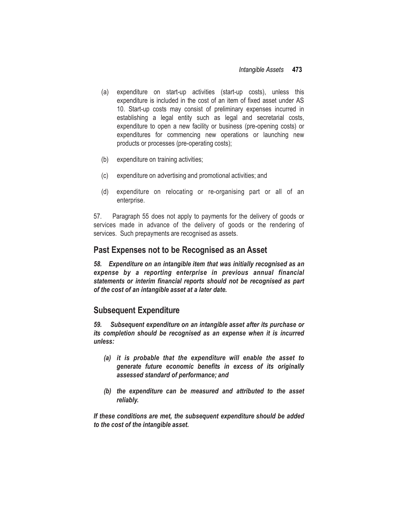- (a) expenditure on start-up activities (start-up costs), unless this expenditure is included in the cost of an item of fixed asset under AS 10. Start-up costs may consist of preliminary expenses incurred in establishing a legal entity such as legal and secretarial costs, expenditure to open a new facility or business (pre-opening costs) or expenditures for commencing new operations or launching new products or processes (pre-operating costs);
- (b) expenditure on training activities;
- (c) expenditure on advertising and promotional activities; and
- (d) expenditure on relocating or re-organising part or all of an enterprise.

57. Paragraph 55 does not apply to payments for the delivery of goods or services made in advance of the delivery of goods or the rendering of services. Such prepayments are recognised as assets.

### **Past Expenses not to be Recognised as an Asset**

*58. Expenditure on an intangible item that was initially recognised as an expense by a reporting enterprise in previous annual financial statements or interim financial reports should not be recognised as part of the cost of an intangible asset at a later date.*

### **Subsequent Expenditure**

*59. Subsequent expenditure on an intangible asset after its purchase or its completion should be recognised as an expense when it is incurred unless:*

- *(a) it is probable that the expenditure will enable the asset to generate future economic benefits in excess of its originally assessed standard of performance; and*
- *(b) the expenditure can be measured and attributed to the asset reliably.*

*If these conditions are met, the subsequent expenditure should be added to the cost of the intangible asset.*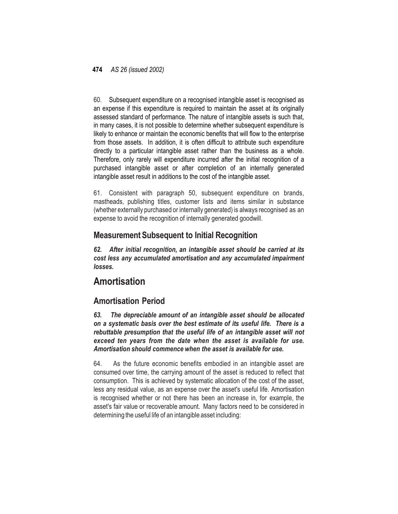60. Subsequent expenditure on a recognised intangible asset is recognised as an expense if this expenditure is required to maintain the asset at its originally assessed standard of performance. The nature of intangible assets is such that, in many cases, it is not possible to determine whether subsequent expenditure is likely to enhance or maintain the economic benefits that will flow to the enterprise from those assets. In addition, it is often difficult to attribute such expenditure directly to a particular intangible asset rather than the business as a whole. Therefore, only rarely will expenditure incurred after the initial recognition of a purchased intangible asset or after completion of an internally generated intangible asset result in additions to the cost of the intangible asset.

61. Consistent with paragraph 50, subsequent expenditure on brands, mastheads, publishing titles, customer lists and items similar in substance (whether externally purchased or internally generated) is always recognised as an expense to avoid the recognition of internally generated goodwill.

### **Measurement Subsequent to Initial Recognition**

*62. After initial recognition, an intangible asset should be carried at its cost less any accumulated amortisation and any accumulated impairment losses.*

# **Amortisation**

## **Amortisation Period**

*63. The depreciable amount of an intangible asset should be allocated on a systematic basis over the best estimate of its useful life. There is a rebuttable presumption that the useful life of an intangible asset will not exceed ten years from the date when the asset is available for use. Amortisation should commence when the asset is available for use.*

64. As the future economic benefits embodied in an intangible asset are consumed over time, the carrying amount of the asset is reduced to reflect that consumption. This is achieved by systematic allocation of the cost of the asset, less any residual value, as an expense over the asset's useful life. Amortisation is recognised whether or not there has been an increase in, for example, the asset's fair value or recoverable amount. Many factors need to be considered in determining the useful life of an intangible asset including: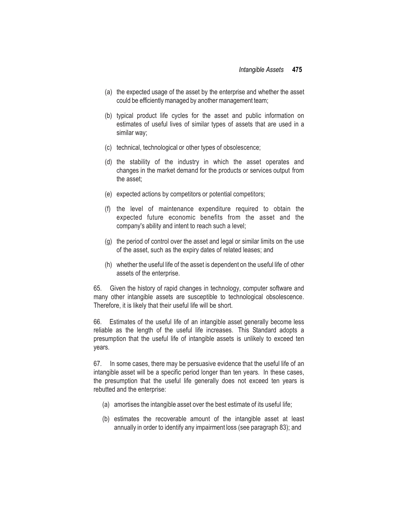- (a) the expected usage of the asset by the enterprise and whether the asset could be efficiently managed by another management team;
- (b) typical product life cycles for the asset and public information on estimates of useful lives of similar types of assets that are used in a similar way;
- (c) technical, technological or other types of obsolescence;
- (d) the stability of the industry in which the asset operates and changes in the market demand for the products or services output from the asset;
- (e) expected actions by competitors or potential competitors;
- (f) the level of maintenance expenditure required to obtain the expected future economic benefits from the asset and the company's ability and intent to reach such a level;
- (g) the period of control over the asset and legal or similar limits on the use of the asset, such as the expiry dates of related leases; and
- (h) whether the useful life of the asset is dependent on the useful life of other assets of the enterprise.

65. Given the history of rapid changes in technology, computer software and many other intangible assets are susceptible to technological obsolescence. Therefore, it is likely that their useful life will be short.

66. Estimates of the useful life of an intangible asset generally become less reliable as the length of the useful life increases. This Standard adopts a presumption that the useful life of intangible assets is unlikely to exceed ten years.

67. In some cases, there may be persuasive evidence that the useful life of an intangible asset will be a specific period longer than ten years. In these cases, the presumption that the useful life generally does not exceed ten years is rebutted and the enterprise:

- (a) amortises the intangible asset over the best estimate of its useful life;
- (b) estimates the recoverable amount of the intangible asset at least annually in order to identify any impairment loss (see paragraph 83); and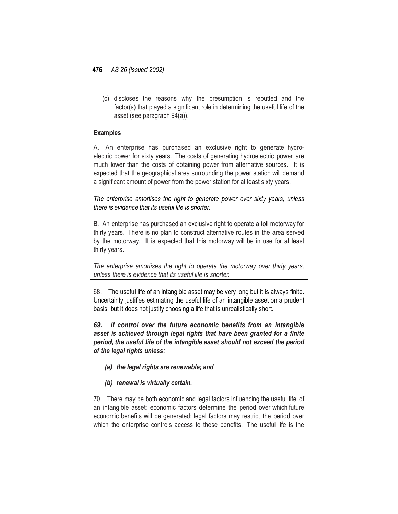(c) discloses the reasons why the presumption is rebutted and the factor(s) that played a significant role in determining the useful life of the asset (see paragraph 94(a)).

### **Examples**

A. An enterprise has purchased an exclusive right to generate hydroelectric power for sixty years. The costs of generating hydroelectric power are much lower than the costs of obtaining power from alternative sources. It is expected that the geographical area surrounding the power station will demand a significant amount of power from the power station for at least sixty years.

*The enterprise amortises the right to generate power over sixty years, unless there is evidence that its useful life is shorter.*

B. An enterprise has purchased an exclusive right to operate a toll motorway for thirty years. There is no plan to construct alternative routes in the area served by the motorway. It is expected that this motorway will be in use for at least thirty years.

*The enterprise amortises the right to operate the motorway over thirty years, unless there is evidence that its useful life is shorter.*

68. The useful life of an intangible asset may be very long but it is always finite. Uncertainty justifies estimating the useful life of an intangible asset on a prudent basis, but it does not justify choosing a life that is unrealistically short.

*69. If control over the future economic benefits from an intangible asset is achieved through legal rights that have been granted for a finite period, the useful life of the intangible asset should not exceed the period of the legal rights unless:*

- *(a) the legal rights are renewable; and*
- *(b) renewal is virtually certain.*

70. There may be both economic and legal factors influencing the useful life of an intangible asset: economic factors determine the period over which future economic benefits will be generated; legal factors may restrict the period over which the enterprise controls access to these benefits. The useful life is the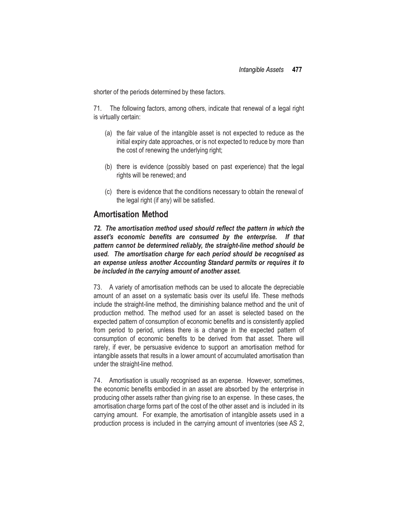shorter of the periods determined by these factors.

71. The following factors, among others, indicate that renewal of a legal right is virtually certain:

- (a) the fair value of the intangible asset is not expected to reduce as the initial expiry date approaches, or is not expected to reduce by more than the cost of renewing the underlying right;
- (b) there is evidence (possibly based on past experience) that the legal rights will be renewed; and
- (c) there is evidence that the conditions necessary to obtain the renewal of the legal right (if any) will be satisfied.

### **Amortisation Method**

*72. The amortisation method used should reflect the pattern in which the asset's economic benefits are consumed by the enterprise. If that pattern cannot be determined reliably, the straight-line method should be used. The amortisation charge for each period should be recognised as an expense unless another Accounting Standard permits or requires it to be included in the carrying amount of another asset.*

73. A variety of amortisation methods can be used to allocate the depreciable amount of an asset on a systematic basis over its useful life. These methods include the straight-line method, the diminishing balance method and the unit of production method. The method used for an asset is selected based on the expected pattern of consumption of economic benefits and is consistently applied from period to period, unless there is a change in the expected pattern of consumption of economic benefits to be derived from that asset. There will rarely, if ever, be persuasive evidence to support an amortisation method for intangible assets that results in a lower amount of accumulated amortisation than under the straight-line method.

74. Amortisation is usually recognised as an expense. However, sometimes, the economic benefits embodied in an asset are absorbed by the enterprise in producing other assets rather than giving rise to an expense. In these cases, the amortisation charge forms part of the cost of the other asset and is included in its carrying amount. For example, the amortisation of intangible assets used in a production process is included in the carrying amount of inventories (see AS 2,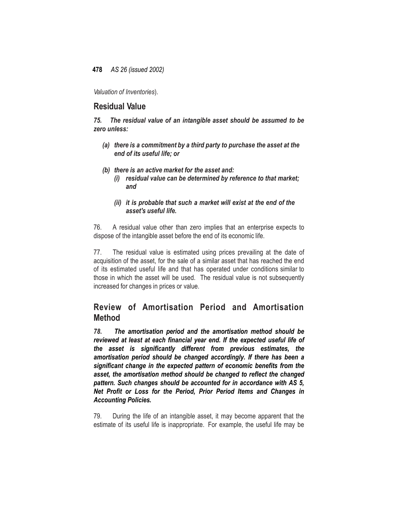*Valuation of Inventories*).

### **Residual Value**

*75. The residual value of an intangible asset should be assumed to be zero unless:*

- *(a) there is a commitment by a third party to purchase the asset at the end of its useful life; or*
- *(b) there is an active market for the asset and:*
	- *(i) residual value can be determined by reference to that market; and*
		- *(ii) it is probable that such a market will exist at the end of the asset's useful life.*

76. A residual value other than zero implies that an enterprise expects to dispose of the intangible asset before the end of its economic life.

77. The residual value is estimated using prices prevailing at the date of acquisition of the asset, for the sale of a similar asset that has reached the end of its estimated useful life and that has operated under conditions similar to those in which the asset will be used. The residual value is not subsequently increased for changes in prices or value.

# **Review of Amortisation Period and Amortisation Method**

*78. The amortisation period and the amortisation method should be reviewed at least at each financial year end. If the expected useful life of the asset is significantly different from previous estimates, the amortisation period should be changed accordingly. If there has been a significant change in the expected pattern of economic benefits from the asset, the amortisation method should be changed to reflect the changed pattern. Such changes should be accounted for in accordance with AS 5, Net Profit or Loss for the Period, Prior Period Items and Changes in Accounting Policies.*

79. During the life of an intangible asset, it may become apparent that the estimate of its useful life is inappropriate. For example, the useful life may be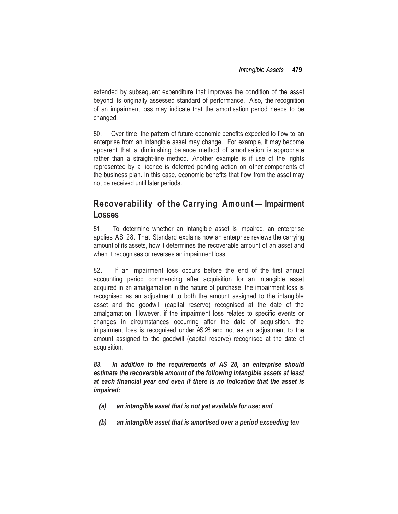extended by subsequent expenditure that improves the condition of the asset beyond its originally assessed standard of performance. Also, the recognition of an impairment loss may indicate that the amortisation period needs to be changed.

80. Over time, the pattern of future economic benefits expected to flow to an enterprise from an intangible asset may change. For example, it may become apparent that a diminishing balance method of amortisation is appropriate rather than a straight-line method. Another example is if use of the rights represented by a licence is deferred pending action on other components of the business plan. In this case, economic benefits that flow from the asset may not be received until later periods.

# **Recoverability of the Carrying Amount — Impairment Losses**

81. To determine whether an intangible asset is impaired, an enterprise applies AS 28. That Standard explains how an enterprise reviews the carrying amount of its assets, how it determines the recoverable amount of an asset and when it recognises or reverses an impairment loss.

82. If an impairment loss occurs before the end of the first annual accounting period commencing after acquisition for an intangible asset acquired in an amalgamation in the nature of purchase, the impairment loss is recognised as an adjustment to both the amount assigned to the intangible asset and the goodwill (capital reserve) recognised at the date of the amalgamation. However, if the impairment loss relates to specific events or changes in circumstances occurring after the date of acquisition, the impairment loss is recognised under AS 28 and not as an adjustment to the amount assigned to the goodwill (capital reserve) recognised at the date of acquisition.

*83. In addition to the requirements of AS 28, an enterprise should estimate the recoverable amount of the following intangible assets at least at each financial year end even if there is no indication that the asset is impaired:*

- *(a) an intangible asset that is not yet available for use; and*
- *(b) an intangible asset that is amortised over a period exceeding ten*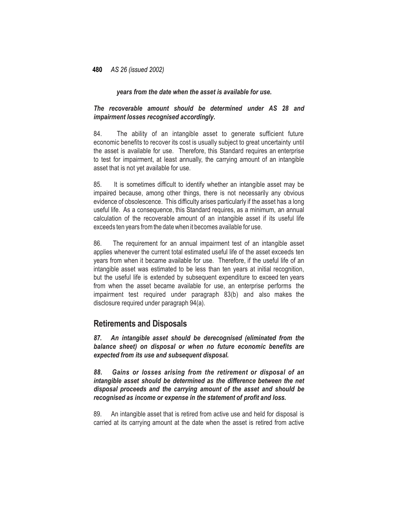#### *years from the date when the asset is available for use.*

### *The recoverable amount should be determined under AS 28 and impairment losses recognised accordingly.*

84. The ability of an intangible asset to generate sufficient future economic benefits to recover its cost is usually subject to great uncertainty until the asset is available for use. Therefore, this Standard requires an enterprise to test for impairment, at least annually, the carrying amount of an intangible asset that is not yet available for use.

85. It is sometimes difficult to identify whether an intangible asset may be impaired because, among other things, there is not necessarily any obvious evidence of obsolescence. This difficulty arises particularly if the asset has a long useful life. As a consequence, this Standard requires, as a minimum, an annual calculation of the recoverable amount of an intangible asset if its useful life exceeds ten years from the date when it becomes available for use.

86. The requirement for an annual impairment test of an intangible asset applies whenever the current total estimated useful life of the asset exceeds ten years from when it became available for use. Therefore, if the useful life of an intangible asset was estimated to be less than ten years at initial recognition, but the useful life is extended by subsequent expenditure to exceed ten years from when the asset became available for use, an enterprise performs the impairment test required under paragraph 83(b) and also makes the disclosure required under paragraph 94(a).

### **Retirements and Disposals**

*87. An intangible asset should be derecognised (eliminated from the balance sheet) on disposal or when no future economic benefits are expected from its use and subsequent disposal.*

*88. Gains or losses arising from the retirement or disposal of an intangible asset should be determined as the difference between the net disposal proceeds and the carrying amount of the asset and should be recognised as income or expense in the statement of profit and loss.*

89. An intangible asset that is retired from active use and held for disposal is carried at its carrying amount at the date when the asset is retired from active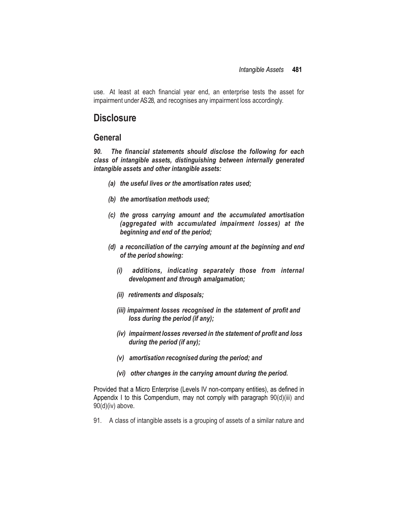use. At least at each financial year end, an enterprise tests the asset for impairment under AS 28, and recognises any impairment loss accordingly.

# **Disclosure**

### **General**

*90. The financial statements should disclose the following for each class of intangible assets, distinguishing between internally generated intangible assets and other intangible assets:*

- *(a) the useful lives or the amortisation rates used;*
- *(b) the amortisation methods used;*
- *(c) the gross carrying amount and the accumulated amortisation (aggregated with accumulated impairment losses) at the beginning and end of the period;*
- *(d) a reconciliation of the carrying amount at the beginning and end of the period showing:*
	- *(i) additions, indicating separately those from internal development and through amalgamation;*
	- *(ii) retirements and disposals;*
	- *(iii) impairment losses recognised in the statement of profit and loss during the period (if any);*
	- *(iv) impairment losses reversed in the statement of profit and loss during the period (if any);*
	- *(v) amortisation recognised during the period; and*
	- *(vi) other changes in the carrying amount during the period.*

Provided that a Micro Enterprise (Levels IV non-company entities), as defined in Appendix I to this Compendium, may not comply with paragraph 90(d)(iii) and 90(d)(iv) above.

91. A class of intangible assets is a grouping of assets of a similar nature and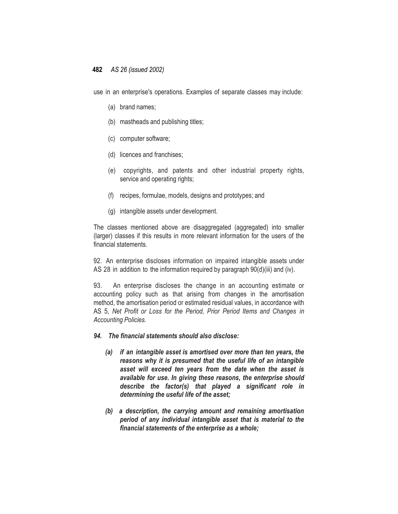use in an enterprise's operations. Examples of separate classes may include:

- (a) brand names;
- (b) mastheads and publishing titles;
- (c) computer software;
- (d) licences and franchises;
- (e) copyrights, and patents and other industrial property rights, service and operating rights;
- (f) recipes, formulae, models, designs and prototypes; and
- (g) intangible assets under development.

The classes mentioned above are disaggregated (aggregated) into smaller (larger) classes if this results in more relevant information for the users of the financial statements.

92. An enterprise discloses information on impaired intangible assets under AS 28 in addition to the information required by paragraph 90(d)(iii) and (iv).

93. An enterprise discloses the change in an accounting estimate or accounting policy such as that arising from changes in the amortisation method, the amortisation period or estimated residual values, in accordance with AS 5, *Net Profit or Loss for the Period, Prior Period Items and Changes in Accounting Policies.*

*94. The financial statements should also disclose:*

- *(a) if an intangible asset is amortised over more than ten years, the reasons why it is presumed that the useful life of an intangible asset will exceed ten years from the date when the asset is available for use. In giving these reasons, the enterprise should describe the factor(s) that played a significant role in determining the useful life of the asset;*
- *(b) a description, the carrying amount and remaining amortisation period of any individual intangible asset that is material to the financial statements of the enterprise as a whole;*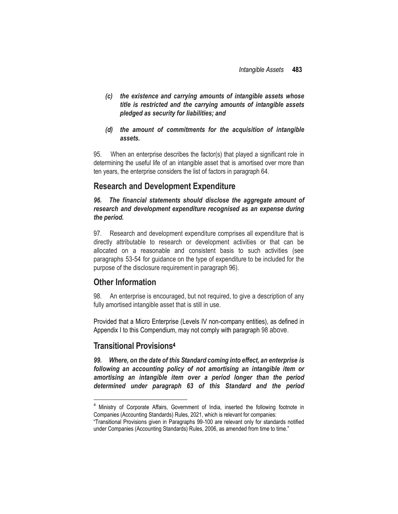- *(c) the existence and carrying amounts of intangible assets whose title is restricted and the carrying amounts of intangible assets pledged as security for liabilities; and*
- *(d) the amount of commitments for the acquisition of intangible assets.*

95. When an enterprise describes the factor(s) that played a significant role in determining the useful life of an intangible asset that is amortised over more than ten years, the enterprise considers the list of factors in paragraph 64.

## **Research and Development Expenditure**

*96. The financial statements should disclose the aggregate amount of research and development expenditure recognised as an expense during the period.*

97. Research and development expenditure comprises all expenditure that is directly attributable to research or development activities or that can be allocated on a reasonable and consistent basis to such activities (see paragraphs 53-54 for guidance on the type of expenditure to be included for the purpose of the disclosure requirement in paragraph 96).

### **Other Information**

98. An enterprise is encouraged, but not required, to give a description of any fully amortised intangible asset that is still in use.

Provided that a Micro Enterprise (Levels IV non-company entities), as defined in Appendix I to this Compendium, may not comply with paragraph 98 above.

### **Transitional Provisions<sup>4</sup>**

 $\overline{\phantom{a}}$ 

*99. Where, on the date of this Standard coming into effect, an enterprise is following an accounting policy of not amortising an intangible item or amortising an intangible item over a period longer than the period determined under paragraph 63 of this Standard and the period*

<sup>4</sup> Ministry of Corporate Affairs, Government of India, inserted the following footnote in Companies (Accounting Standards) Rules, 2021, which is relevant for companies:

<sup>&</sup>quot;Transitional Provisions given in Paragraphs 99-100 are relevant only for standards notified under Companies (Accounting Standards) Rules, 2006, as amended from time to time."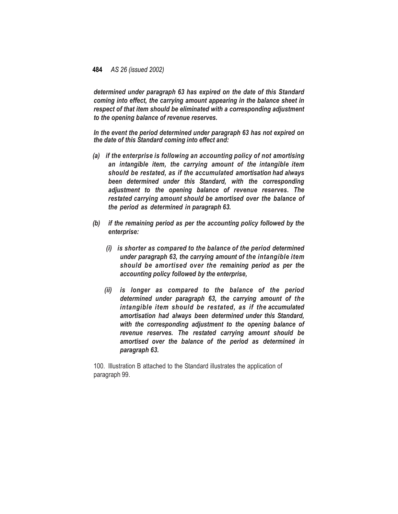*determined under paragraph 63 has expired on the date of this Standard coming into effect, the carrying amount appearing in the balance sheet in respect of that item should be eliminated with a corresponding adjustment to the opening balance of revenue reserves.*

*In the event the period determined under paragraph 63 has not expired on the date of this Standard coming into effect and:*

- *(a) if the enterprise is following an accounting policy of not amortising an intangible item, the carrying amount of the intangible item should be restated, as if the accumulated amortisation had always been determined under this Standard, with the corresponding adjustment to the opening balance of revenue reserves. The restated carrying amount should be amortised over the balance of the period as determined in paragraph 63.*
- *(b) if the remaining period as per the accounting policy followed by the enterprise:*
	- *(i) is shorter as compared to the balance of the period determined under paragraph 63, the carrying amount of the intangible item should be amortised over the remaining period as per the accounting policy followed by the enterprise,*
	- *(ii) is longer as compared to the balance of the period determined under paragraph 63, the carrying amount of the intangible item should be restated, as if the accumulated amortisation had always been determined under this Standard, with the corresponding adjustment to the opening balance of revenue reserves. The restated carrying amount should be amortised over the balance of the period as determined in paragraph 63.*

100. Illustration B attached to the Standard illustrates the application of paragraph 99.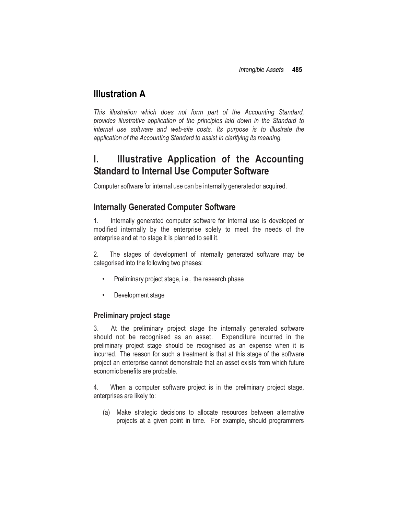# **Illustration A**

*This illustration which does not form part of the Accounting Standard, provides illustrative application of the principles laid down in the Standard to internal use software and web-site costs. Its purpose is to illustrate the application of the Accounting Standard to assist in clarifying its meaning.*

# **I. Illustrative Application of the Accounting Standard to Internal Use Computer Software**

Computer software for internal use can be internally generated or acquired.

# **Internally Generated Computer Software**

1. Internally generated computer software for internal use is developed or modified internally by the enterprise solely to meet the needs of the enterprise and at no stage it is planned to sell it.

2. The stages of development of internally generated software may be categorised into the following two phases:

- Preliminary project stage, i.e., the research phase
- Development stage

### **Preliminary project stage**

3. At the preliminary project stage the internally generated software should not be recognised as an asset. Expenditure incurred in the preliminary project stage should be recognised as an expense when it is incurred. The reason for such a treatment is that at this stage of the software project an enterprise cannot demonstrate that an asset exists from which future economic benefits are probable.

4. When a computer software project is in the preliminary project stage, enterprises are likely to:

(a) Make strategic decisions to allocate resources between alternative projects at a given point in time. For example, should programmers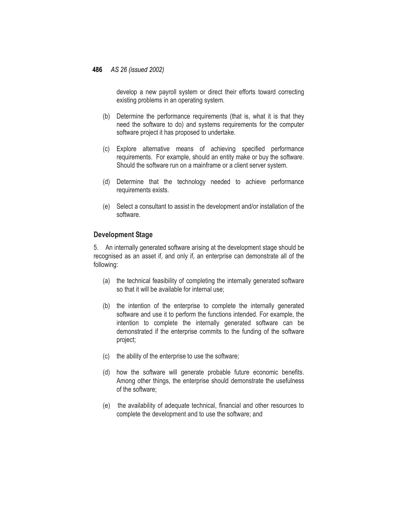develop a new payroll system or direct their efforts toward correcting existing problems in an operating system.

- (b) Determine the performance requirements (that is, what it is that they need the software to do) and systems requirements for the computer software project it has proposed to undertake.
- (c) Explore alternative means of achieving specified performance requirements. For example, should an entity make or buy the software. Should the software run on a mainframe or a client server system.
- (d) Determine that the technology needed to achieve performance requirements exists.
- (e) Select a consultant to assist in the development and/or installation of the software.

### **Development Stage**

5. An internally generated software arising at the development stage should be recognised as an asset if, and only if, an enterprise can demonstrate all of the following:

- (a) the technical feasibility of completing the internally generated software so that it will be available for internal use;
- (b) the intention of the enterprise to complete the internally generated software and use it to perform the functions intended. For example, the intention to complete the internally generated software can be demonstrated if the enterprise commits to the funding of the software project;
- (c) the ability of the enterprise to use the software;
- (d) how the software will generate probable future economic benefits. Among other things, the enterprise should demonstrate the usefulness of the software;
- (e) the availability of adequate technical, financial and other resources to complete the development and to use the software; and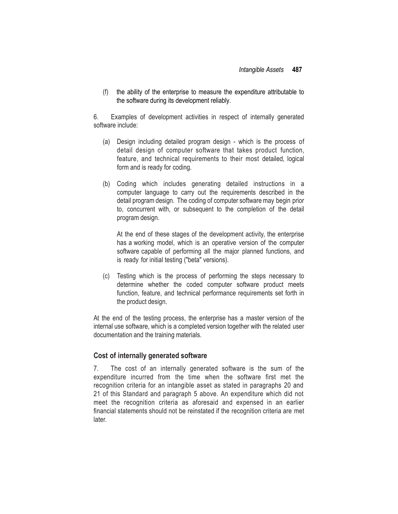(f) the ability of the enterprise to measure the expenditure attributable to the software during its development reliably.

6. Examples of development activities in respect of internally generated software include:

- (a) Design including detailed program design which is the process of detail design of computer software that takes product function, feature, and technical requirements to their most detailed, logical form and is ready for coding.
- (b) Coding which includes generating detailed instructions in a computer language to carry out the requirements described in the detail program design. The coding of computer software may begin prior to, concurrent with, or subsequent to the completion of the detail program design.

At the end of these stages of the development activity, the enterprise has a working model, which is an operative version of the computer software capable of performing all the major planned functions, and is ready for initial testing ("beta" versions).

(c) Testing which is the process of performing the steps necessary to determine whether the coded computer software product meets function, feature, and technical performance requirements set forth in the product design.

At the end of the testing process, the enterprise has a master version of the internal use software, which is a completed version together with the related user documentation and the training materials.

#### **Cost of internally generated software**

7. The cost of an internally generated software is the sum of the expenditure incurred from the time when the software first met the recognition criteria for an intangible asset as stated in paragraphs 20 and 21 of this Standard and paragraph 5 above. An expenditure which did not meet the recognition criteria as aforesaid and expensed in an earlier financial statements should not be reinstated if the recognition criteria are met later.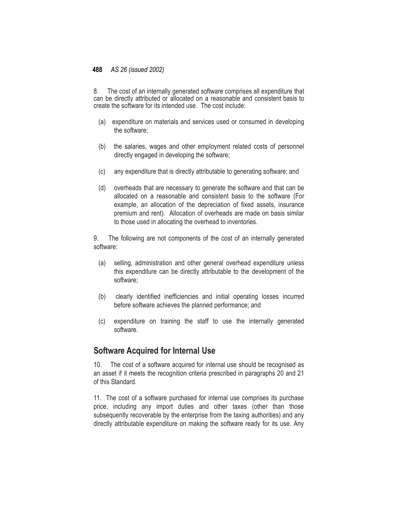8. The cost of an internally generated software comprises all expenditure that can be directly attributed or allocated on a reasonable and consistent basis to create the software for its intended use. The cost include:

- (a) expenditure on materials and services used or consumed in developing the software;
- (b) the salaries, wages and other employment related costs of personnel directly engaged in developing the software;
- (c) any expenditure that is directly attributable to generating software; and
- (d) overheads that are necessary to generate the software and that can be allocated on a reasonable and consistent basis to the software (For example, an allocation of the depreciation of fixed assets, insurance premium and rent). Allocation of overheads are made on basis similar to those used in allocating the overhead to inventories.

9. The following are not components of the cost of an internally generated software:

- (a) selling, administration and other general overhead expenditure unless this expenditure can be directly attributable to the development of the software;
- (b) clearly identified inefficiencies and initial operating losses incurred before software achieves the planned performance; and
- (c) expenditure on training the staff to use the internally generated software.

## **Software Acquired for Internal Use**

10. The cost of a software acquired for internal use should be recognised as an asset if it meets the recognition criteria prescribed in paragraphs 20 and 21 of this Standard.

11. The cost of a software purchased for internal use comprises its purchase price, including any import duties and other taxes (other than those subsequently recoverable by the enterprise from the taxing authorities) and any directly attributable expenditure on making the software ready for its use. Any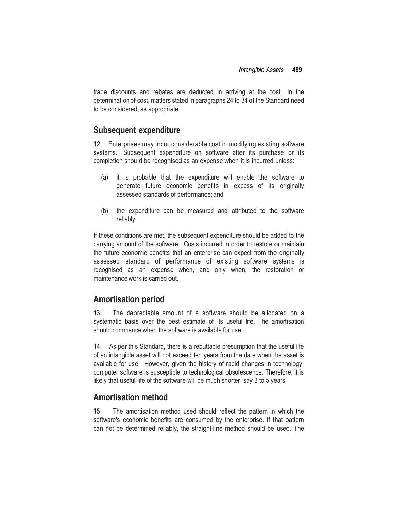trade discounts and rebates are deducted in arriving at the cost. In the determination of cost, matters stated in paragraphs 24 to 34 of the Standard need to be considered, as appropriate.

### **Subsequent expenditure**

12. Enterprises may incur considerable cost in modifying existing software systems. Subsequent expenditure on software after its purchase or its completion should be recognised as an expense when it is incurred unless:

- (a) it is probable that the expenditure will enable the software to generate future economic benefits in excess of its originally assessed standards of performance; and
- (b) the expenditure can be measured and attributed to the software reliably.

If these conditions are met, the subsequent expenditure should be added to the carrying amount of the software. Costs incurred in order to restore or maintain the future economic benefits that an enterprise can expect from the originally assessed standard of performance of existing software systems is recognised as an expense when, and only when, the restoration or maintenance work is carried out.

### **Amortisation period**

13. The depreciable amount of a software should be allocated on a systematic basis over the best estimate of its useful life. The amortisation should commence when the software is available for use.

14. As per this Standard, there is a rebuttable presumption that the useful life of an intangible asset will not exceed ten years from the date when the asset is available for use. However, given the history of rapid changes in technology, computer software is susceptible to technological obsolescence. Therefore, it is likely that useful life of the software will be much shorter, say 3 to 5 years.

### **Amortisation method**

15. The amortisation method used should reflect the pattern in which the software's economic benefits are consumed by the enterprise. If that pattern can not be determined reliably, the straight-line method should be used. The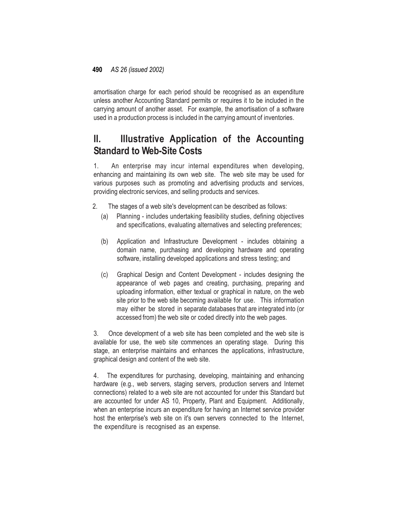amortisation charge for each period should be recognised as an expenditure unless another Accounting Standard permits or requires it to be included in the carrying amount of another asset. For example, the amortisation of a software used in a production process is included in the carrying amount of inventories.

# **II. Illustrative Application of the Accounting Standard to Web-Site Costs**

1. An enterprise may incur internal expenditures when developing, enhancing and maintaining its own web site. The web site may be used for various purposes such as promoting and advertising products and services, providing electronic services, and selling products and services.

- 2. The stages of a web site's development can be described as follows:
	- (a) Planning includes undertaking feasibility studies, defining objectives and specifications, evaluating alternatives and selecting preferences;
	- (b) Application and Infrastructure Development includes obtaining a domain name, purchasing and developing hardware and operating software, installing developed applications and stress testing; and
	- (c) Graphical Design and Content Development includes designing the appearance of web pages and creating, purchasing, preparing and uploading information, either textual or graphical in nature, on the web site prior to the web site becoming available for use. This information may either be stored in separate databases that are integrated into (or accessed from) the web site or coded directly into the web pages.

3. Once development of a web site has been completed and the web site is available for use, the web site commences an operating stage. During this stage, an enterprise maintains and enhances the applications, infrastructure, graphical design and content of the web site.

4. The expenditures for purchasing, developing, maintaining and enhancing hardware (e.g., web servers, staging servers, production servers and Internet connections) related to a web site are not accounted for under this Standard but are accounted for under AS 10, Property, Plant and Equipment. Additionally, when an enterprise incurs an expenditure for having an Internet service provider host the enterprise's web site on it's own servers connected to the Internet, the expenditure is recognised as an expense.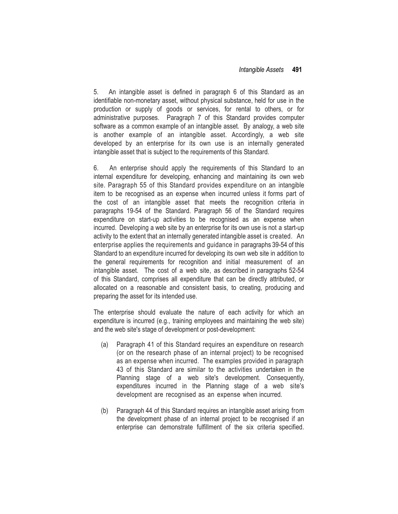5. An intangible asset is defined in paragraph 6 of this Standard as an identifiable non-monetary asset, without physical substance, held for use in the production or supply of goods or services, for rental to others, or for administrative purposes. Paragraph 7 of this Standard provides computer software as a common example of an intangible asset. By analogy, a web site is another example of an intangible asset. Accordingly, a web site developed by an enterprise for its own use is an internally generated intangible asset that is subject to the requirements of this Standard.

6. An enterprise should apply the requirements of this Standard to an internal expenditure for developing, enhancing and maintaining its own web site. Paragraph 55 of this Standard provides expenditure on an intangible item to be recognised as an expense when incurred unless it forms part of the cost of an intangible asset that meets the recognition criteria in paragraphs 19-54 of the Standard. Paragraph 56 of the Standard requires expenditure on start-up activities to be recognised as an expense when incurred. Developing a web site by an enterprise for its own use is not a start-up activity to the extent that an internally generated intangible asset is created. An enterprise applies the requirements and guidance in paragraphs 39-54 of this Standard to an expenditure incurred for developing its own web site in addition to the general requirements for recognition and initial measurement of an intangible asset. The cost of a web site, as described in paragraphs 52-54 of this Standard, comprises all expenditure that can be directly attributed, or allocated on a reasonable and consistent basis, to creating, producing and preparing the asset for its intended use.

The enterprise should evaluate the nature of each activity for which an expenditure is incurred (e.g., training employees and maintaining the web site) and the web site's stage of development or post-development:

- (a) Paragraph 41 of this Standard requires an expenditure on research (or on the research phase of an internal project) to be recognised as an expense when incurred. The examples provided in paragraph 43 of this Standard are similar to the activities undertaken in the Planning stage of a web site's development. Consequently, expenditures incurred in the Planning stage of a web site's development are recognised as an expense when incurred.
- (b) Paragraph 44 of this Standard requires an intangible asset arising from the development phase of an internal project to be recognised if an enterprise can demonstrate fulfillment of the six criteria specified.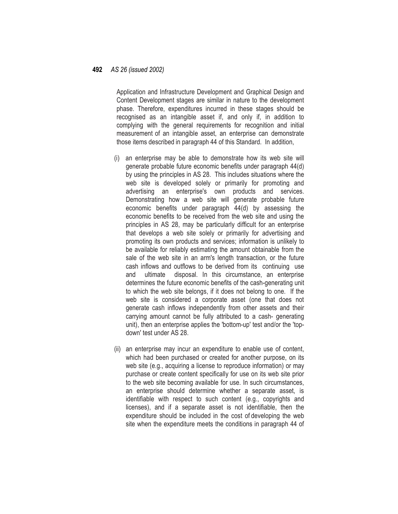Application and Infrastructure Development and Graphical Design and Content Development stages are similar in nature to the development phase. Therefore, expenditures incurred in these stages should be recognised as an intangible asset if, and only if, in addition to complying with the general requirements for recognition and initial measurement of an intangible asset, an enterprise can demonstrate those items described in paragraph 44 of this Standard. In addition,

- (i) an enterprise may be able to demonstrate how its web site will generate probable future economic benefits under paragraph 44(d) by using the principles in AS 28. This includes situations where the web site is developed solely or primarily for promoting and advertising an enterprise's own products and services. Demonstrating how a web site will generate probable future economic benefits under paragraph 44(d) by assessing the economic benefits to be received from the web site and using the principles in AS 28, may be particularly difficult for an enterprise that develops a web site solely or primarily for advertising and promoting its own products and services; information is unlikely to be available for reliably estimating the amount obtainable from the sale of the web site in an arm's length transaction, or the future cash inflows and outflows to be derived from its continuing use and ultimate disposal. In this circumstance, an enterprise determines the future economic benefits of the cash-generating unit to which the web site belongs, if it does not belong to one. If the web site is considered a corporate asset (one that does not generate cash inflows independently from other assets and their carrying amount cannot be fully attributed to a cash- generating unit), then an enterprise applies the 'bottom-up' test and/or the 'topdown' test under AS 28.
- (ii) an enterprise may incur an expenditure to enable use of content, which had been purchased or created for another purpose, on its web site (e.g., acquiring a license to reproduce information) or may purchase or create content specifically for use on its web site prior to the web site becoming available for use. In such circumstances, an enterprise should determine whether a separate asset, is identifiable with respect to such content (e.g., copyrights and licenses), and if a separate asset is not identifiable, then the expenditure should be included in the cost of developing the web site when the expenditure meets the conditions in paragraph 44 of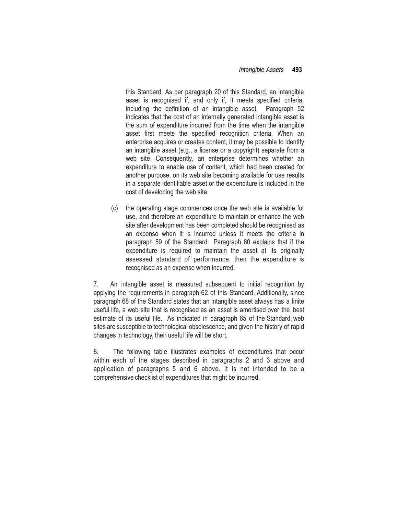this Standard. As per paragraph 20 of this Standard, an intangible asset is recognised if, and only if, it meets specified criteria, including the definition of an intangible asset. Paragraph 52 indicates that the cost of an internally generated intangible asset is the sum of expenditure incurred from the time when the intangible asset first meets the specified recognition criteria. When an enterprise acquires or creates content, it may be possible to identify an intangible asset (e.g., a license or a copyright) separate from a web site. Consequently, an enterprise determines whether an expenditure to enable use of content, which had been created for another purpose, on its web site becoming available for use results in a separate identifiable asset or the expenditure is included in the cost of developing the web site.

(c) the operating stage commences once the web site is available for use, and therefore an expenditure to maintain or enhance the web site after development has been completed should be recognised as an expense when it is incurred unless it meets the criteria in paragraph 59 of the Standard. Paragraph 60 explains that if the expenditure is required to maintain the asset at its originally assessed standard of performance, then the expenditure is recognised as an expense when incurred.

7. An intangible asset is measured subsequent to initial recognition by applying the requirements in paragraph 62 of this Standard. Additionally, since paragraph 68 of the Standard states that an intangible asset always has a finite useful life, a web site that is recognised as an asset is amortised over the best estimate of its useful life. As indicated in paragraph 65 of the Standard, web sites are susceptible to technological obsolescence, and given the history of rapid changes in technology, their useful life will be short.

8. The following table illustrates examples of expenditures that occur within each of the stages described in paragraphs 2 and 3 above and application of paragraphs 5 and 6 above. It is not intended to be a comprehensive checklist of expenditures that might be incurred.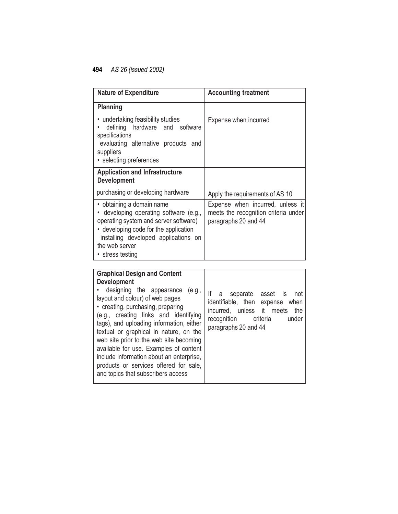| <b>Nature of Expenditure</b>                                                                                                                                                                                                        | <b>Accounting treatment</b>                                                                      |
|-------------------------------------------------------------------------------------------------------------------------------------------------------------------------------------------------------------------------------------|--------------------------------------------------------------------------------------------------|
| <b>Planning</b>                                                                                                                                                                                                                     |                                                                                                  |
| • undertaking feasibility studies<br>defining hardware and software<br>specifications<br>evaluating alternative products and<br>suppliers<br>• selecting preferences                                                                | Expense when incurred                                                                            |
| <b>Application and Infrastructure</b><br><b>Development</b>                                                                                                                                                                         |                                                                                                  |
| purchasing or developing hardware                                                                                                                                                                                                   | Apply the requirements of AS 10                                                                  |
| • obtaining a domain name<br>• developing operating software (e.g.,<br>operating system and server software)<br>• developing code for the application<br>installing developed applications on<br>the web server<br>• stress testing | Expense when incurred, unless it<br>meets the recognition criteria under<br>paragraphs 20 and 44 |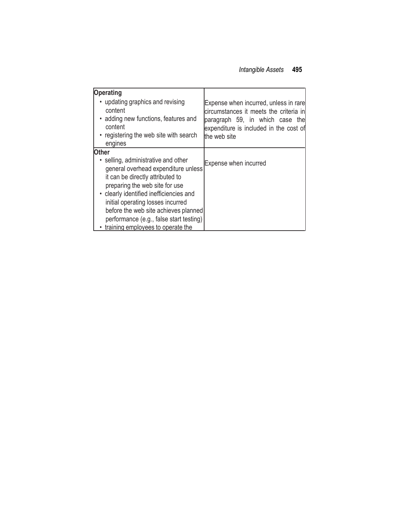| <b>Operating</b>                                                                                                                                                                                                                                                                                                                                         |                                                                                                                                                                              |
|----------------------------------------------------------------------------------------------------------------------------------------------------------------------------------------------------------------------------------------------------------------------------------------------------------------------------------------------------------|------------------------------------------------------------------------------------------------------------------------------------------------------------------------------|
| • updating graphics and revising<br>content<br>• adding new functions, features and<br>content<br>• registering the web site with search<br>engines                                                                                                                                                                                                      | Expense when incurred, unless in rare<br>circumstances it meets the criteria in<br>paragraph 59, in which case the<br>expenditure is included in the cost of<br>the web site |
| <b>Other</b>                                                                                                                                                                                                                                                                                                                                             |                                                                                                                                                                              |
| • selling, administrative and other<br>general overhead expenditure unless<br>it can be directly attributed to<br>preparing the web site for use<br>• clearly identified inefficiencies and<br>initial operating losses incurred<br>before the web site achieves planned<br>performance (e.g., false start testing)<br>training employees to operate the | Expense when incurred                                                                                                                                                        |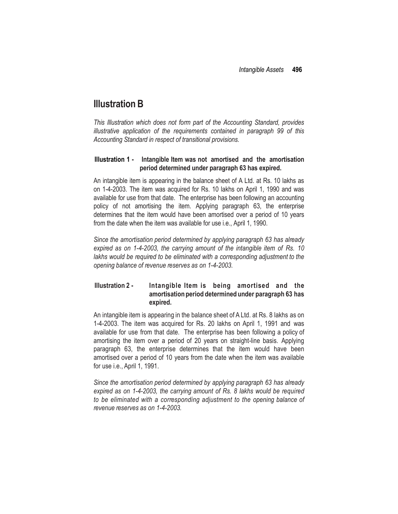# **Illustration B**

*This Illustration which does not form part of the Accounting Standard, provides illustrative application of the requirements contained in paragraph 99 of this Accounting Standard in respect of transitional provisions.*

### **Illustration 1 - Intangible Item was not amortised and the amortisation period determined under paragraph 63 has expired.**

An intangible item is appearing in the balance sheet of A Ltd. at Rs. 10 lakhs as on 1-4-2003. The item was acquired for Rs. 10 lakhs on April 1, 1990 and was available for use from that date. The enterprise has been following an accounting policy of not amortising the item. Applying paragraph 63, the enterprise determines that the item would have been amortised over a period of 10 years from the date when the item was available for use i.e., April 1, 1990.

*Since the amortisation period determined by applying paragraph 63 has already expired as on 1-4-2003, the carrying amount of the intangible item of Rs. 10 lakhs would be required to be eliminated with a corresponding adjustment to the opening balance of revenue reserves as on 1-4-2003.*

### **Illustration 2 - Intangible Item is being amortised and the amortisation period determined under paragraph 63 has expired.**

An intangible item is appearing in the balance sheet of A Ltd. at Rs. 8 lakhs as on 1-4-2003. The item was acquired for Rs. 20 lakhs on April 1, 1991 and was available for use from that date. The enterprise has been following a policy of amortising the item over a period of 20 years on straight-line basis. Applying paragraph 63, the enterprise determines that the item would have been amortised over a period of 10 years from the date when the item was available for use i.e., April 1, 1991.

*Since the amortisation period determined by applying paragraph 63 has already expired as on 1-4-2003, the carrying amount of Rs. 8 lakhs would be required to be eliminated with a corresponding adjustment to the opening balance of revenue reserves as on 1-4-2003.*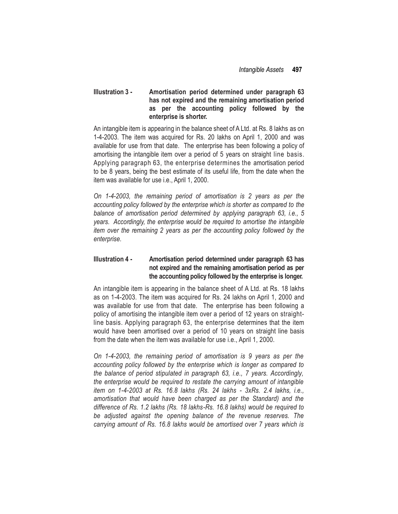### **Illustration 3 - Amortisation period determined under paragraph 63 has not expired and the remaining amortisation period as per the accounting policy followed by the enterprise is shorter.**

An intangible item is appearing in the balance sheet of A Ltd. at Rs. 8 lakhs as on 1-4-2003. The item was acquired for Rs. 20 lakhs on April 1, 2000 and was available for use from that date. The enterprise has been following a policy of amortising the intangible item over a period of 5 years on straight line basis. Applying paragraph 63, the enterprise determines the amortisation period to be 8 years, being the best estimate of its useful life, from the date when the item was available for use i.e., April 1, 2000.

*On 1-4-2003, the remaining period of amortisation is 2 years as per the accounting policy followed by the enterprise which is shorter as compared to the balance of amortisation period determined by applying paragraph 63, i.e., 5 years. Accordingly, the enterprise would be required to amortise the intangible item over the remaining 2 years as per the accounting policy followed by the enterprise.*

### **Illustration 4 - Amortisation period determined under paragraph 63 has not expired and the remaining amortisation period as per the accounting policy followed by the enterprise is longer.**

An intangible item is appearing in the balance sheet of A Ltd. at Rs. 18 lakhs as on 1-4-2003. The item was acquired for Rs. 24 lakhs on April 1, 2000 and was available for use from that date. The enterprise has been following a policy of amortising the intangible item over a period of 12 years on straightline basis. Applying paragraph 63, the enterprise determines that the item would have been amortised over a period of 10 years on straight line basis from the date when the item was available for use i.e., April 1, 2000.

*On 1-4-2003, the remaining period of amortisation is 9 years as per the accounting policy followed by the enterprise which is longer as compared to the balance of period stipulated in paragraph 63, i.e., 7 years. Accordingly, the enterprise would be required to restate the carrying amount of intangible item on 1-4-2003 at Rs. 16.8 lakhs (Rs. 24 lakhs - 3xRs. 2.4 lakhs, i.e., amortisation that would have been charged as per the Standard) and the difference of Rs. 1.2 lakhs (Rs. 18 lakhs-Rs. 16.8 lakhs) would be required to be adjusted against the opening balance of the revenue reserves. The carrying amount of Rs. 16.8 lakhs would be amortised over 7 years which is*